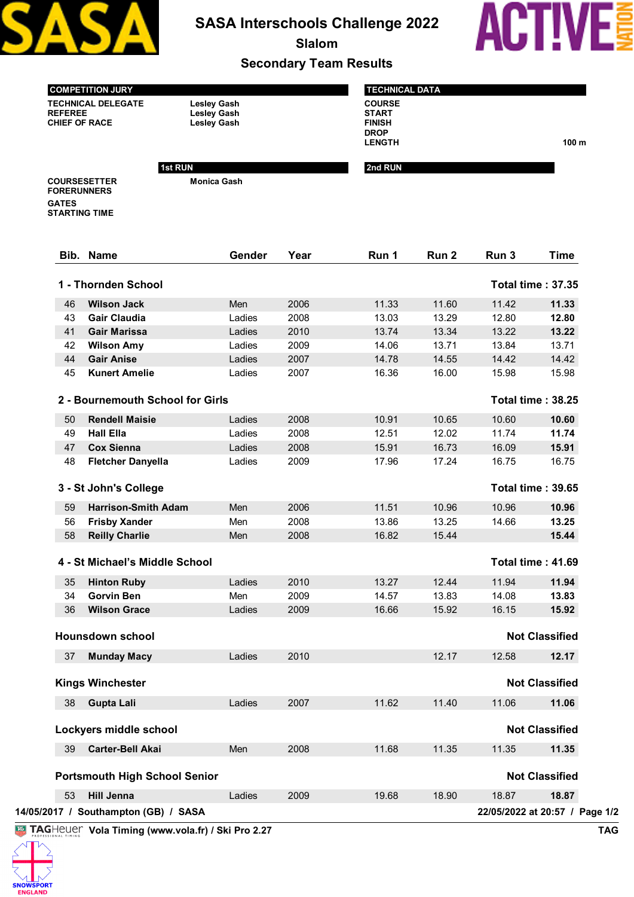

## **SASA Interschools Challenge 2022**

**Slalom**

## **Secondary Team Results**



**COMPETITION JURY TECHNICAL DELEGATE Lesley Gash CHIEF OF RACE** 

**Monica Gash**

|                                                                | <b>TECHNICAL DATA</b>                                         |                  |
|----------------------------------------------------------------|---------------------------------------------------------------|------------------|
| <b>Lesley Gash</b><br><b>Lesley Gash</b><br><b>Lesley Gash</b> | <b>COURSE</b><br><b>START</b><br><b>FINISH</b><br><b>DROP</b> |                  |
| <b>1st RUN</b>                                                 | <b>LENGTH</b><br>2nd RUN                                      | 100 <sub>m</sub> |

**COURSESETTER FORERUNNERS GATES STARTING TIME**

**Vola Timing (www.vola.fr) / Ski Pro 2.27 TAG 14/05/2017 / Southampton (GB) / SASA 22/05/2022 at 20:57 / Page 1/2 Bib. Name Gender Year Run 1 Run 2 Run 3 Time 1 - Thornden School Total time : 37.35 Wilson Jack** Men 2006 11.33 11.60 11.42 **11.33 Gair Claudia** Ladies 2008 13.03 13.29 12.80 **12.80 Gair Marissa** Ladies 2010 13.74 13.34 13.22 **13.22 Wilson Amy** Ladies 2009 14.06 13.71 13.84 13.71 **Gair Anise** Ladies 2007 14.78 14.55 14.42 14.42 **Kunert Amelie** Ladies 2007 16.36 16.00 15.98 15.98  **2 - Bournemouth School for Girls Total time : 38.25 Rendell Maisie** Ladies 2008 10.91 10.65 10.60 **10.60 Hall Ella** Ladies 2008 12.51 12.02 11.74 **11.74 Cox Sienna** Ladies 2008 15.91 16.73 16.09 **15.91 Fletcher Danyella** Ladies 2009 17.96 17.24 16.75 16.75  **3 - St John's College Total time : 39.65 Harrison-Smith Adam** Men 2006 11.51 10.96 10.96 **10.96 Frisby Xander** Men 2008 13.86 13.25 14.66 **13.25 Reilly Charlie** Men 2008 16.82 15.44 **15.44 4 - St Michael's Middle School Total time : 41.69 Hinton Ruby** Ladies 2010 13.27 12.44 11.94 **11.94 Gorvin Ben** Men 2009 14.57 13.83 14.08 **13.83 Wilson Grace** Ladies 2009 16.66 15.92 16.15 **15.92 Hounsdown school Not Classified Munday Macy** Ladies 2010 12.17 12.58 **12.17 Kings Winchester Not Classified Gupta Lali** Ladies 2007 11.62 11.40 11.06 **11.06 Lockyers middle school Not Classified Carter-Bell Akai** Men 2008 11.68 11.35 11.35 **11.35 Portsmouth High School Senior Not Classified Hill Jenna** Ladies 2009 19.68 18.90 18.87 **18.87**